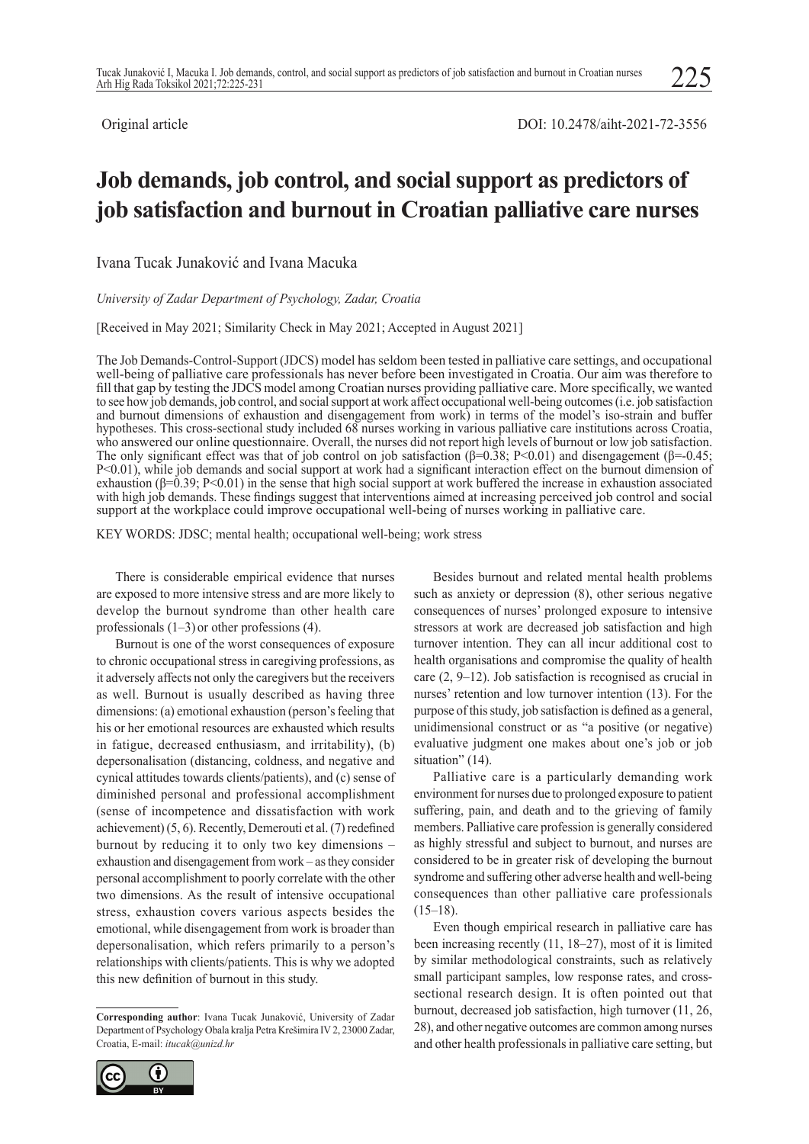225

# **Job demands, job control, and social support as predictors of job satisfaction and burnout in Croatian palliative care nurses**

Ivana Tucak Junaković and Ivana Macuka

*University of Zadar Department of Psychology, Zadar, Croatia*

[Received in May 2021; Similarity Check in May 2021; Accepted in August 2021]

The Job Demands-Control-Support (JDCS) model has seldom been tested in palliative care settings, and occupational well-being of palliative care professionals has never before been investigated in Croatia. Our aim was therefore to fill that gap by testing the JDCS model among Croatian nurses providing palliative care. More specifically, we wanted to see how job demands, job control, and social support at work affect occupational well-being outcomes (i.e. job satisfaction and burnout dimensions of exhaustion and disengagement from work) in terms of the model's iso-strain and buffer hypotheses. This cross-sectional study included 68 nurses working in various palliative care institutions across Croatia, who answered our online questionnaire. Overall, the nurses did not report high levels of burnout or low job satisfaction. The only significant effect was that of job control on job satisfaction ( $\beta$ =0.38; P<0.01) and disengagement ( $\beta$ =0.45; P<0.01), while job demands and social support at work had a significant interaction effect on the burnout dimension of exhaustion (β=0.39; P<0.01) in the sense that high social support at work buffered the increase in exhaustion associated with high job demands. These findings suggest that interventions aimed at increasing perceived job control and social support at the workplace could improve occupational well-being of nurses working in palliative care.

KEY WORDS: JDSC; mental health; occupational well-being; work stress

There is considerable empirical evidence that nurses are exposed to more intensive stress and are more likely to develop the burnout syndrome than other health care professionals (1–3) or other professions (4).

Burnout is one of the worst consequences of exposure to chronic occupational stress in caregiving professions, as it adversely affects not only the caregivers but the receivers as well. Burnout is usually described as having three dimensions: (a) emotional exhaustion (person's feeling that his or her emotional resources are exhausted which results in fatigue, decreased enthusiasm, and irritability), (b) depersonalisation (distancing, coldness, and negative and cynical attitudes towards clients/patients), and (c) sense of diminished personal and professional accomplishment (sense of incompetence and dissatisfaction with work achievement) (5, 6). Recently, Demerouti et al. (7) redefined burnout by reducing it to only two key dimensions – exhaustion and disengagement from work – as they consider personal accomplishment to poorly correlate with the other two dimensions. As the result of intensive occupational stress, exhaustion covers various aspects besides the emotional, while disengagement from work is broader than depersonalisation, which refers primarily to a person's relationships with clients/patients. This is why we adopted this new definition of burnout in this study.

**Corresponding author**: Ivana Tucak Junaković, University of Zadar Department of Psychology Obala kralja Petra Krešimira IV 2, 23000 Zadar, Croatia, E-mail: *itucak@unizd.hr*



Besides burnout and related mental health problems such as anxiety or depression (8), other serious negative consequences of nurses' prolonged exposure to intensive stressors at work are decreased job satisfaction and high turnover intention. They can all incur additional cost to health organisations and compromise the quality of health care (2, 9–12). Job satisfaction is recognised as crucial in nurses' retention and low turnover intention (13). For the purpose of this study, job satisfaction is defined as a general, unidimensional construct or as "a positive (or negative) evaluative judgment one makes about one's job or job situation" (14).

Palliative care is a particularly demanding work environment for nurses due to prolonged exposure to patient suffering, pain, and death and to the grieving of family members. Palliative care profession is generally considered as highly stressful and subject to burnout, and nurses are considered to be in greater risk of developing the burnout syndrome and suffering other adverse health and well-being consequences than other palliative care professionals  $(15–18)$ .

Even though empirical research in palliative care has been increasing recently (11, 18–27), most of it is limited by similar methodological constraints, such as relatively small participant samples, low response rates, and crosssectional research design. It is often pointed out that burnout, decreased job satisfaction, high turnover (11, 26, 28), and other negative outcomes are common among nurses and other health professionals in palliative care setting, but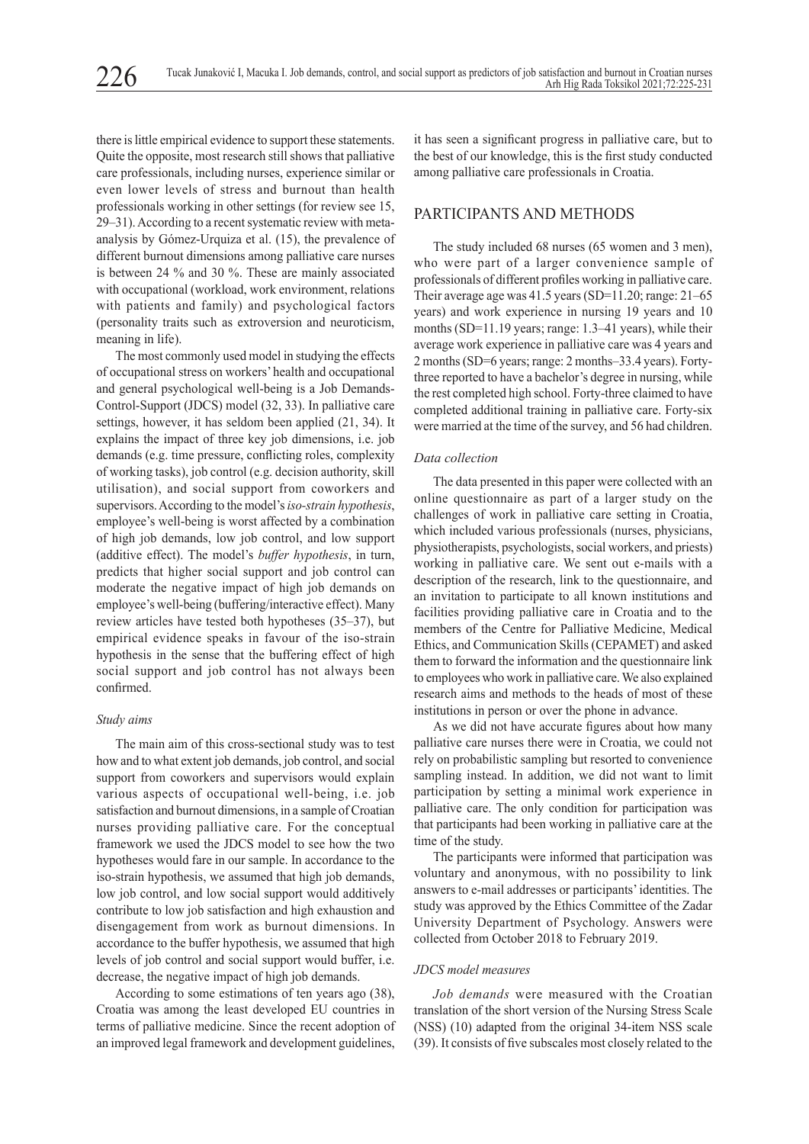there is little empirical evidence to support these statements. Quite the opposite, most research still shows that palliative care professionals, including nurses, experience similar or even lower levels of stress and burnout than health professionals working in other settings (for review see 15, 29–31). According to a recent systematic review with metaanalysis by Gόmez-Urquiza et al. (15), the prevalence of different burnout dimensions among palliative care nurses is between 24 % and 30 %. These are mainly associated with occupational (workload, work environment, relations with patients and family) and psychological factors (personality traits such as extroversion and neuroticism, meaning in life).

The most commonly used model in studying the effects of occupational stress on workers' health and occupational and general psychological well-being is a Job Demands-Control-Support (JDCS) model (32, 33). In palliative care settings, however, it has seldom been applied (21, 34). It explains the impact of three key job dimensions, i.e. job demands (e.g. time pressure, conflicting roles, complexity of working tasks), job control (e.g. decision authority, skill utilisation), and social support from coworkers and supervisors. According to the model's *iso-strain hypothesis*, employee's well-being is worst affected by a combination of high job demands, low job control, and low support (additive effect). The model's *buffer hypothesis*, in turn, predicts that higher social support and job control can moderate the negative impact of high job demands on employee's well-being (buffering/interactive effect). Many review articles have tested both hypotheses (35–37), but empirical evidence speaks in favour of the iso-strain hypothesis in the sense that the buffering effect of high social support and job control has not always been confirmed.

## *Study aims*

The main aim of this cross-sectional study was to test how and to what extent job demands, job control, and social support from coworkers and supervisors would explain various aspects of occupational well-being, i.e. job satisfaction and burnout dimensions, in a sample of Croatian nurses providing palliative care. For the conceptual framework we used the JDCS model to see how the two hypotheses would fare in our sample. In accordance to the iso-strain hypothesis, we assumed that high job demands, low job control, and low social support would additively contribute to low job satisfaction and high exhaustion and disengagement from work as burnout dimensions. In accordance to the buffer hypothesis, we assumed that high levels of job control and social support would buffer, i.e. decrease, the negative impact of high job demands.

According to some estimations of ten years ago (38), Croatia was among the least developed EU countries in terms of palliative medicine. Since the recent adoption of an improved legal framework and development guidelines,

it has seen a significant progress in palliative care, but to the best of our knowledge, this is the first study conducted among palliative care professionals in Croatia.

# PARTICIPANTS AND METHODS

The study included 68 nurses (65 women and 3 men), who were part of a larger convenience sample of professionals of different profiles working in palliative care. Their average age was 41.5 years (SD=11.20; range: 21–65 years) and work experience in nursing 19 years and 10 months (SD=11.19 years; range: 1.3–41 years), while their average work experience in palliative care was 4 years and 2 months (SD=6 years; range: 2 months–33.4 years). Fortythree reported to have a bachelor's degree in nursing, while the rest completed high school. Forty-three claimed to have completed additional training in palliative care. Forty-six were married at the time of the survey, and 56 had children.

#### *Data collection*

The data presented in this paper were collected with an online questionnaire as part of a larger study on the challenges of work in palliative care setting in Croatia, which included various professionals (nurses, physicians, physiotherapists, psychologists, social workers, and priests) working in palliative care. We sent out e-mails with a description of the research, link to the questionnaire, and an invitation to participate to all known institutions and facilities providing palliative care in Croatia and to the members of the Centre for Palliative Medicine, Medical Ethics, and Communication Skills (CEPAMET) and asked them to forward the information and the questionnaire link to employees who work in palliative care. We also explained research aims and methods to the heads of most of these institutions in person or over the phone in advance.

As we did not have accurate figures about how many palliative care nurses there were in Croatia, we could not rely on probabilistic sampling but resorted to convenience sampling instead. In addition, we did not want to limit participation by setting a minimal work experience in palliative care. The only condition for participation was that participants had been working in palliative care at the time of the study.

The participants were informed that participation was voluntary and anonymous, with no possibility to link answers to e-mail addresses or participants' identities. The study was approved by the Ethics Committee of the Zadar University Department of Psychology. Answers were collected from October 2018 to February 2019.

## *JDCS model measures*

*Job demands* were measured with the Croatian translation of the short version of the Nursing Stress Scale (NSS) (10) adapted from the original 34-item NSS scale (39). It consists of five subscales most closely related to the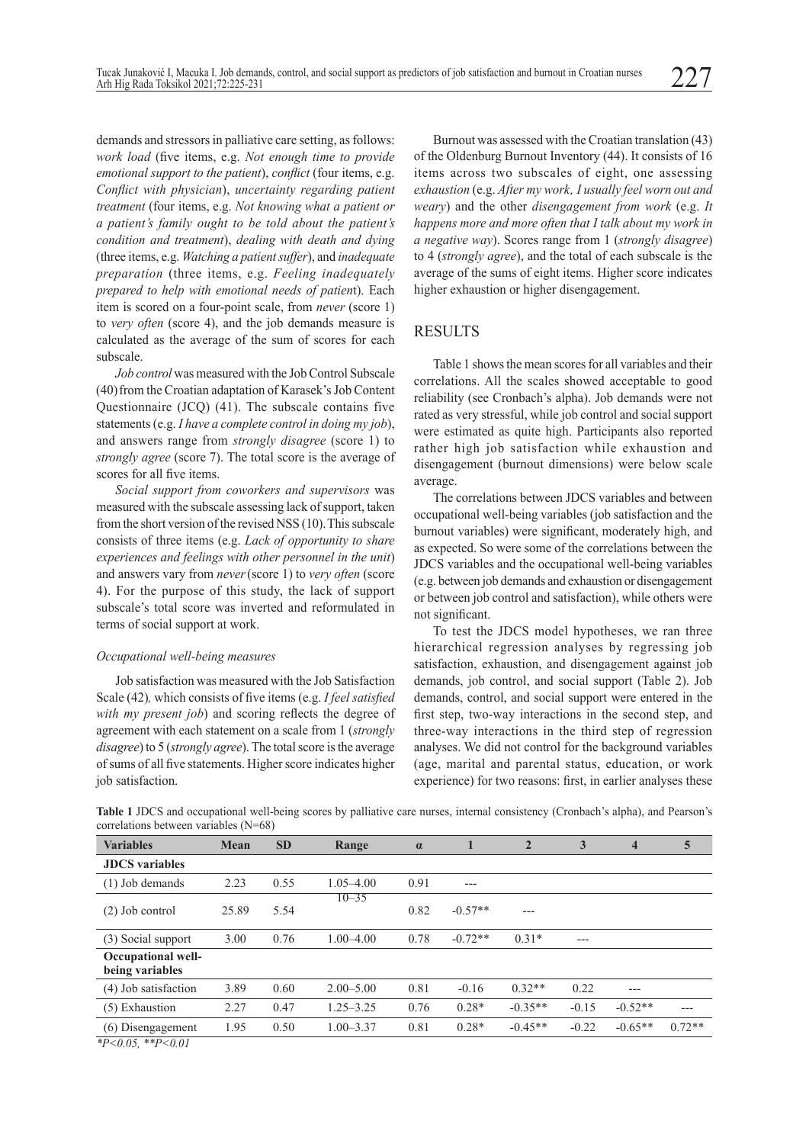demands and stressors in palliative care setting, as follows: *work load* (five items, e.g. *Not enough time to provide emotional support to the patient*), *conflict* (four items, e.g. *Conflict with physician*), *uncertainty regarding patient treatment* (four items, e.g. *Not knowing what a patient or a patient's family ought to be told about the patient's condition and treatment*), *dealing with death and dying* (three items, e.g. *Watching a patient suffer*), and *inadequate preparation* (three items, e.g. *Feeling inadequately prepared to help with emotional needs of patien*t). Each item is scored on a four-point scale, from *never* (score 1) to *very often* (score 4), and the job demands measure is calculated as the average of the sum of scores for each subscale.

*Job control* was measured with the Job Control Subscale (40) from the Croatian adaptation of Karasek's Job Content Questionnaire (JCQ) (41). The subscale contains five statements (e.g. *I have a complete control in doing my job*), and answers range from *strongly disagree* (score 1) to *strongly agree* (score 7). The total score is the average of scores for all five items.

*Social support from coworkers and supervisors* was measured with the subscale assessing lack of support, taken from the short version of the revised NSS (10).This subscale consists of three items (e.g. *Lack of opportunity to share experiences and feelings with other personnel in the unit*) and answers vary from *never*(score 1) to *very often* (score 4). For the purpose of this study, the lack of support subscale's total score was inverted and reformulated in terms of social support at work.

## *Occupational well-being measures*

Job satisfaction was measured with the Job Satisfaction Scale (42)*,* which consists of five items (e.g. *I feel satisfied with my present job*) and scoring reflects the degree of agreement with each statement on a scale from 1 (*strongly disagree*) to 5 (*strongly agree*). The total score is the average of sums of all five statements. Higher score indicates higher job satisfaction.

Burnout was assessed with the Croatian translation (43) of the Oldenburg Burnout Inventory (44). It consists of 16 items across two subscales of eight, one assessing *exhaustion* (e.g. *After my work' I usually feel worn out and weary*) and the other *disengagement from work* (e.g. *It happens more and more often that I talk about my work in a negative way*). Scores range from 1 (*strongly disagree*) to 4 (*strongly agree*), and the total of each subscale is the average of the sums of eight items. Higher score indicates higher exhaustion or higher disengagement.

# **RESULTS**

Table 1 shows the mean scores for all variables and their correlations. All the scales showed acceptable to good reliability (see Cronbach's alpha). Job demands were not rated as very stressful, while job control and social support were estimated as quite high. Participants also reported rather high job satisfaction while exhaustion and disengagement (burnout dimensions) were below scale average.

The correlations between JDCS variables and between occupational well-being variables (job satisfaction and the burnout variables) were significant, moderately high, and as expected. So were some of the correlations between the JDCS variables and the occupational well-being variables (e.g. between job demands and exhaustion or disengagement or between job control and satisfaction), while others were not significant.

To test the JDCS model hypotheses, we ran three hierarchical regression analyses by regressing job satisfaction, exhaustion, and disengagement against job demands, job control, and social support (Table 2). Job demands, control, and social support were entered in the first step, two-way interactions in the second step, and three-way interactions in the third step of regression analyses. We did not control for the background variables (age, marital and parental status, education, or work experience) for two reasons: first, in earlier analyses these

| Table 1 JDCS and occupational well-being scores by palliative care nurses, internal consistency (Cronbach's alpha), and Pearson's |  |  |  |
|-----------------------------------------------------------------------------------------------------------------------------------|--|--|--|
| correlations between variables $(N=68)$                                                                                           |  |  |  |

| <b>Variables</b>                                        | Mean  | <b>SD</b> | Range         | $\alpha$ |           | $\overline{2}$ | 3       | $\overline{\mathbf{4}}$ | 5        |
|---------------------------------------------------------|-------|-----------|---------------|----------|-----------|----------------|---------|-------------------------|----------|
| <b>JDCS</b> variables                                   |       |           |               |          |           |                |         |                         |          |
| $(1)$ Job demands                                       | 2.23  | 0.55      | 1.05–4.00     | 0.91     | $---$     |                |         |                         |          |
| $(2)$ Job control                                       | 25.89 | 5.54      | $10 - 35$     | 0.82     | $-0.57**$ | ---            |         |                         |          |
| (3) Social support                                      | 3.00  | 0.76      | $1.00 - 4.00$ | 0.78     | $-0.72**$ | $0.31*$        | $---$   |                         |          |
| <b>Occupational well-</b><br>being variables            |       |           |               |          |           |                |         |                         |          |
| (4) Job satisfaction                                    | 3.89  | 0.60      | $2.00 - 5.00$ | 0.81     | $-0.16$   | $0.32**$       | 0.22    | ---                     |          |
| (5) Exhaustion                                          | 2.27  | 0.47      | 1.25–3.25     | 0.76     | $0.28*$   | $-0.35**$      | $-0.15$ | $-0.52**$               | ---      |
| (6)<br>Disengagement<br>$4.73 \cdot 0.05$ $4.45$ $0.01$ | 1.95  | 0.50      | $1.00 - 3.37$ | 0.81     | $0.28*$   | $-0.45**$      | $-0.22$ | $-0.65**$               | $0.72**$ |

*\*P<0.05, \*\*P<0.01*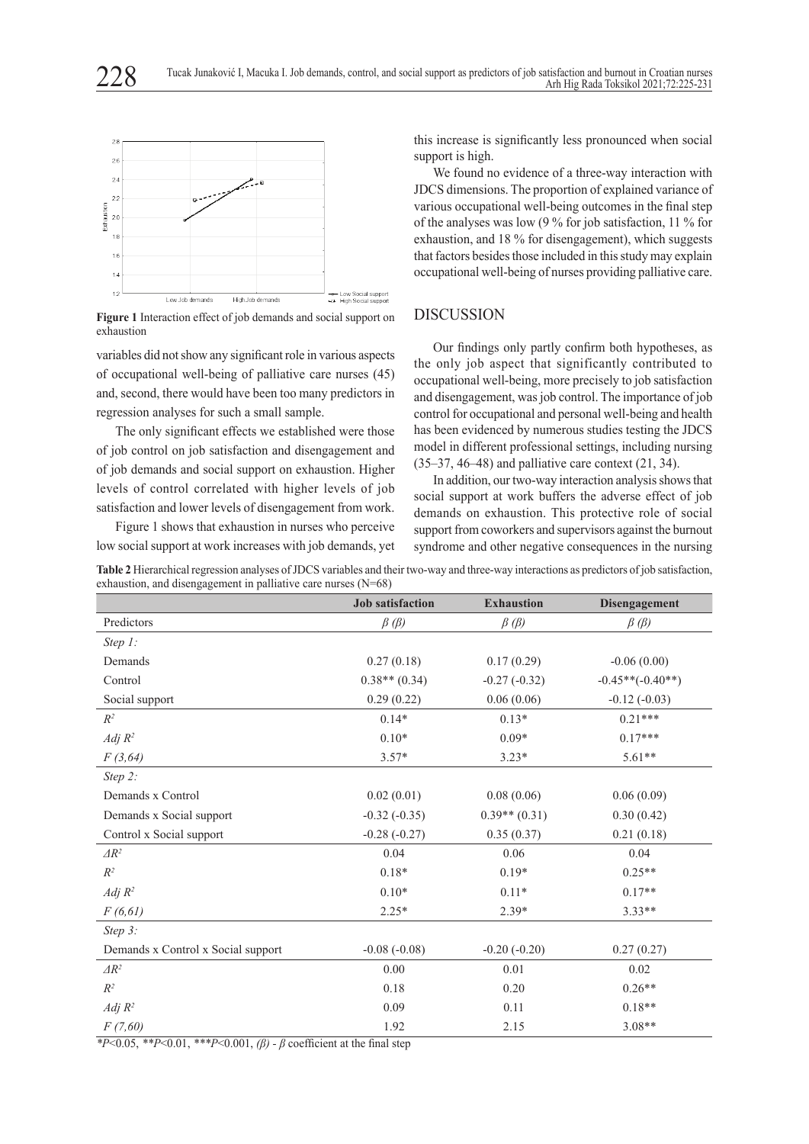

**Figure 1** Interaction effect of job demands and social support on exhaustion

variables did not show any significant role in various aspects of occupational well-being of palliative care nurses (45) and, second, there would have been too many predictors in regression analyses for such a small sample.

The only significant effects we established were those of job control on job satisfaction and disengagement and of job demands and social support on exhaustion. Higher levels of control correlated with higher levels of job satisfaction and lower levels of disengagement from work.

Figure 1 shows that exhaustion in nurses who perceive low social support at work increases with job demands, yet

this increase is significantly less pronounced when social support is high.

We found no evidence of a three-way interaction with JDCS dimensions. The proportion of explained variance of various occupational well-being outcomes in the final step of the analyses was low (9 % for job satisfaction, 11 % for exhaustion, and 18 % for disengagement), which suggests that factors besides those included in this study may explain occupational well-being of nurses providing palliative care.

# DISCUSSION

Our findings only partly confirm both hypotheses, as the only job aspect that significantly contributed to occupational well-being, more precisely to job satisfaction and disengagement, was job control. The importance of job control for occupational and personal well-being and health has been evidenced by numerous studies testing the JDCS model in different professional settings, including nursing (35–37, 46–48) and palliative care context (21, 34).

In addition, our two-way interaction analysis shows that social support at work buffers the adverse effect of job demands on exhaustion. This protective role of social support from coworkers and supervisors against the burnout syndrome and other negative consequences in the nursing

**Job satisfaction Exhaustion Disengagement** Predictors *β (β) β (β) β (β) Step 1:* Demands  $0.27 (0.18)$   $0.17 (0.29)$   $-0.06 (0.00)$  $0.38** (0.34)$   $-0.27 (-0.32)$   $-0.45**(-0.40**)$ Social support 0.29 (0.22) 0.06 (0.06) -0.12 (-0.03)  $R^2$  0.14\* 0.13\* 0.21\*\*\* *Adj R*<sup>2</sup> 0.10\* 0.10\* 0.09\* 0.17\*\*\* *F (3,64)* 3.57\* 3.23\* 5.61\*\* *Step 2:* Demands x Control 0.02 (0.01) 0.08 (0.06) 0.06 (0.09) Demands x Social support  $-0.32$  (-0.35) 0.39<sup>\*\*</sup> (0.31) 0.30 (0.42) Control x Social support -0.28 (-0.27) 0.35 (0.37) 0.21 (0.18)  $\Delta R^2$  0.04 0.06 0.04 0.06 0.04  $R^2$  0.18\* 0.19\* 0.25\*\* 0.19\* 0.25\* *Adj R*<sup>2</sup> 0.10\* 0.11\* 0.17\*\* 0.17\*

**Table 2** Hierarchical regression analyses of JDCS variables and their two-way and three-way interactions as predictors of job satisfaction, exhaustion, and disengagement in palliative care nurses (N=68)

*F (6,61)* 2.25\* 2.39\* 3.33\*\* *Step 3:* Demands x Control x Social support  $-0.08 (-0.08)$   $-0.20 (-0.20)$   $0.27 (0.27)$  $\Delta R^2$  0.00 0.01 0.02  $R^2$  0.18 0.20 0.26\*\* *Adj R*<sup>2</sup> 0.09 0.11 0.18\*\* *F (7,60)* 1.92 2.15 3.08\*\*

*\*P*<0.05, *\*\*P*<0.01, *\*\*\*P*<0.001, *(β) - β* coefficient at the final step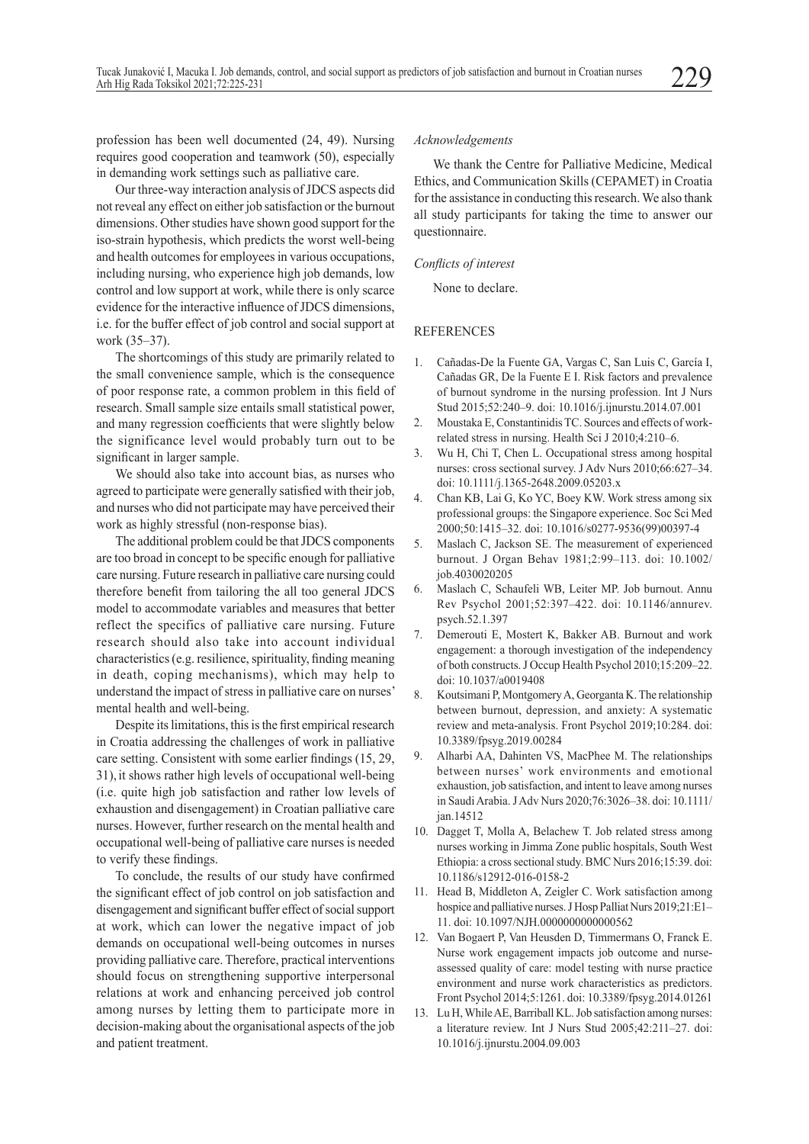profession has been well documented (24, 49). Nursing requires good cooperation and teamwork (50), especially in demanding work settings such as palliative care.

Our three-way interaction analysis of JDCS aspects did not reveal any effect on either job satisfaction or the burnout dimensions. Other studies have shown good support for the iso-strain hypothesis, which predicts the worst well-being and health outcomes for employees in various occupations, including nursing, who experience high job demands, low control and low support at work, while there is only scarce evidence for the interactive influence of JDCS dimensions, i.e. for the buffer effect of job control and social support at work (35–37).

The shortcomings of this study are primarily related to the small convenience sample, which is the consequence of poor response rate, a common problem in this field of research. Small sample size entails small statistical power, and many regression coefficients that were slightly below the significance level would probably turn out to be significant in larger sample.

We should also take into account bias, as nurses who agreed to participate were generally satisfied with their job, and nurses who did not participate may have perceived their work as highly stressful (non-response bias).

The additional problem could be that JDCS components are too broad in concept to be specific enough for palliative care nursing. Future research in palliative care nursing could therefore benefit from tailoring the all too general JDCS model to accommodate variables and measures that better reflect the specifics of palliative care nursing. Future research should also take into account individual characteristics (e.g. resilience, spirituality, finding meaning in death, coping mechanisms), which may help to understand the impact of stress in palliative care on nurses' mental health and well-being.

Despite its limitations, this is the first empirical research in Croatia addressing the challenges of work in palliative care setting. Consistent with some earlier findings (15, 29, 31), it shows rather high levels of occupational well-being (i.e. quite high job satisfaction and rather low levels of exhaustion and disengagement) in Croatian palliative care nurses. However, further research on the mental health and occupational well-being of palliative care nurses is needed to verify these findings.

To conclude, the results of our study have confirmed the significant effect of job control on job satisfaction and disengagement and significant buffer effect of social support at work, which can lower the negative impact of job demands on occupational well-being outcomes in nurses providing palliative care. Therefore, practical interventions should focus on strengthening supportive interpersonal relations at work and enhancing perceived job control among nurses by letting them to participate more in decision-making about the organisational aspects of the job and patient treatment.

### *Acknowledgements*

We thank the Centre for Palliative Medicine, Medical Ethics, and Communication Skills (CEPAMET) in Croatia for the assistance in conducting this research. We also thank all study participants for taking the time to answer our questionnaire.

## *Conflicts of interest*

None to declare.

#### REFERENCES

- 1. Cañadas-De la Fuente GA, Vargas C, San Luis C, García I, Cañadas GR, De la Fuente E I. Risk factors and prevalence of burnout syndrome in the nursing profession. Int J Nurs Stud 2015;52:240–9. doi: 10.1016/j.ijnurstu.2014.07.001
- 2. Moustaka E, Constantinidis TC. Sources and effects of workrelated stress in nursing. Health Sci J 2010;4:210–6.
- 3. Wu H, Chi T, Chen L. Occupational stress among hospital nurses: cross sectional survey. J Adv Nurs 2010;66:627–34. doi: 10.1111/j.1365-2648.2009.05203.x
- 4. Chan KB, Lai G, Ko YC, Boey KW. Work stress among six professional groups: the Singapore experience. Soc Sci Med 2000;50:1415–32. doi: 10.1016/s0277-9536(99)00397-4
- 5. Maslach C, Jackson SE. The measurement of experienced burnout. J Organ Behav 1981;2:99–113. doi: 10.1002/ job.4030020205
- 6. Maslach C, Schaufeli WB, Leiter MP. Job burnout. Annu Rev Psychol 2001;52:397–422. doi: 10.1146/annurev. psych.52.1.397
- 7. Demerouti E, Mostert K, Bakker AB. Burnout and work engagement: a thorough investigation of the independency of both constructs. J Occup Health Psychol 2010;15:209–22. doi: 10.1037/a0019408
- 8. Koutsimani P, Montgomery A, Georganta K. The relationship between burnout, depression, and anxiety: A systematic review and meta-analysis. Front Psychol 2019;10:284. doi: 10.3389/fpsyg.2019.00284
- 9. Alharbi AA, Dahinten VS, MacPhee M. The relationships between nurses' work environments and emotional exhaustion, job satisfaction, and intent to leave among nurses in Saudi Arabia. J Adv Nurs 2020;76:3026–38. doi: 10.1111/ jan.14512
- 10. Dagget T, Molla A, Belachew T. Job related stress among nurses working in Jimma Zone public hospitals, South West Ethiopia: a cross sectional study. BMC Nurs 2016;15:39. doi: 10.1186/s12912-016-0158-2
- 11. Head B, Middleton A, Zeigler C. Work satisfaction among hospice and palliative nurses. J Hosp Palliat Nurs 2019;21:E1-11. doi: 10.1097/NJH.0000000000000562
- 12. Van Bogaert P, Van Heusden D, Timmermans O, Franck E. Nurse work engagement impacts job outcome and nurseassessed quality of care: model testing with nurse practice environment and nurse work characteristics as predictors. Front Psychol 2014;5:1261. doi: 10.3389/fpsyg.2014.01261
- 13. Lu H, While AE, Barriball KL. Job satisfaction among nurses: a literature review. Int J Nurs Stud 2005;42:211–27. doi: 10.1016/j.ijnurstu.2004.09.003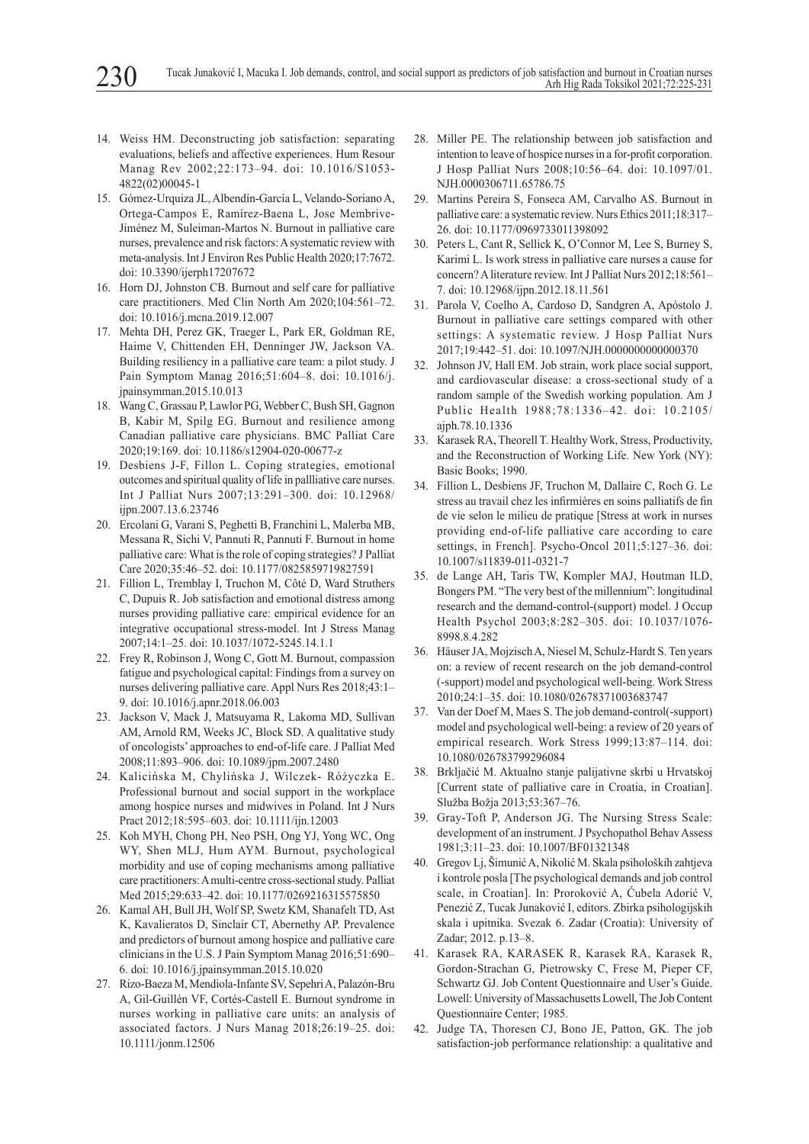- 14. Weiss HM. Deconstructing job satisfaction: separating evaluations, beliefs and affective experiences. Hum Resour Manag Rev 2002;22:173–94. doi: 10.1016/S1053- 4822(02)00045-1
- 15. Gόmez-Urquiza JL, Albendín-García L, Velando-Soriano A, Ortega-Campos E, Ramírez-Baena L, Jose Membrive-Jiménez M, Suleiman-Martos N. Burnout in palliative care nurses, prevalence and risk factors: A systematic review with meta-analysis. Int J Environ Res Public Health 2020;17:7672. doi: 10.3390/ijerph17207672
- 16. Horn DJ, Johnston CB. Burnout and self care for palliative care practitioners. Med Clin North Am 2020;104:561–72. doi: 10.1016/j.mcna.2019.12.007
- 17. Mehta DH, Perez GK, Traeger L, Park ER, Goldman RE, Haime V, Chittenden EH, Denninger JW, Jackson VA. Building resiliency in a palliative care team: a pilot study. J Pain Symptom Manag 2016;51:604–8. doi: 10.1016/j. jpainsymman.2015.10.013
- 18. Wang C, Grassau P, Lawlor PG, Webber C, Bush SH, Gagnon B, Kabir M, Spilg EG. Burnout and resilience among Canadian palliative care physicians. BMC Palliat Care 2020;19:169. doi: 10.1186/s12904-020-00677-z
- 19. Desbiens J-F, Fillon L. Coping strategies, emotional outcomes and spiritual quality of life in pallliative care nurses. Int J Palliat Nurs 2007;13:291–300. doi: 10.12968/ ijpn.2007.13.6.23746
- 20. Ercolani G, Varani S, Peghetti B, Franchini L, Malerba MB, Messana R, Sichi V, Pannuti R, Pannuti F. Burnout in home palliative care: What is the role of coping strategies? J Palliat Care 2020;35:46–52. doi: 10.1177/0825859719827591
- 21. Fillion L, Tremblay I, Truchon M, Côté D, Ward Struthers C, Dupuis R. Job satisfaction and emotional distress among nurses providing palliative care: empirical evidence for an integrative occupational stress-model. Int J Stress Manag 2007;14:1–25. doi: 10.1037/1072-5245.14.1.1
- 22. Frey R, Robinson J, Wong C, Gott M. Burnout, compassion fatigue and psychological capital: Findings from a survey on nurses delivering palliative care. Appl Nurs Res 2018;43:1– 9. doi: 10.1016/j.apnr.2018.06.003
- 23. Jackson V, Mack J, Matsuyama R, Lakoma MD, Sullivan AM, Arnold RM, Weeks JC, Block SD. A qualitative study of oncologists' approaches to end-of-life care. J Palliat Med 2008;11:893–906. doi: 10.1089/jpm.2007.2480
- 24. Kalicińska M, Chylińska J, Wilczek- Różyczka E. Professional burnout and social support in the workplace among hospice nurses and midwives in Poland. Int J Nurs Pract 2012;18:595–603. doi: 10.1111/ijn.12003
- 25. Koh MYH, Chong PH, Neo PSH, Ong YJ, Yong WC, Ong WY, Shen MLJ, Hum AYM. Burnout, psychological morbidity and use of coping mechanisms among palliative care practitioners: A multi-centre cross-sectional study. Palliat Med 2015;29:633–42. doi: 10.1177/0269216315575850
- 26. Kamal AH, Bull JH, Wolf SP, Swetz KM, Shanafelt TD, Ast K, Kavalieratos D, Sinclair CT, Abernethy AP. Prevalence and predictors of burnout among hospice and palliative care clinicians in the U.S. J Pain Symptom Manag 2016;51:690– 6. doi: 10.1016/j.jpainsymman.2015.10.020
- 27. Rizo-Baeza M, Mendiola-Infante SV, Sepehri A, Palazόn-Bru A, Gil-Guillén VF, Cortés-Castell E. Burnout syndrome in nurses working in palliative care units: an analysis of associated factors. J Nurs Manag 2018;26:19–25. doi: 10.1111/jonm.12506
- 28. Miller PE. The relationship between job satisfaction and intention to leave of hospice nurses in a for-profit corporation. J Hosp Palliat Nurs 2008;10:56–64. doi: 10.1097/01. NJH.0000306711.65786.75
- 29. Martins Pereira S, Fonseca AM, Carvalho AS. Burnout in palliative care: a systematic review. Nurs Ethics 2011;18:317– 26. doi: 10.1177/0969733011398092
- 30. Peters L, Cant R, Sellick K, O'Connor M, Lee S, Burney S, Karimi L. Is work stress in palliative care nurses a cause for concern? A literature review. Int J Palliat Nurs 2012;18:561– 7. doi: 10.12968/ijpn.2012.18.11.561
- 31. Parola V, Coelho A, Cardoso D, Sandgren A, Apόstolo J. Burnout in palliative care settings compared with other settings: A systematic review. J Hosp Palliat Nurs 2017;19:442–51. doi: 10.1097/NJH.0000000000000370
- 32. Johnson JV, Hall EM. Job strain, work place social support, and cardiovascular disease: a cross-sectional study of a random sample of the Swedish working population. Am J Public Health 1988;78:1336–42. doi: 10.2105/ ajph.78.10.1336
- 33. Karasek RA, Theorell T. Healthy Work, Stress, Productivity, and the Reconstruction of Working Life. New York (NY): Basic Books; 1990.
- 34. Fillion L, Desbiens JF, Truchon M, Dallaire C, Roch G. Le stress au travail chez les infirmières en soins palliatifs de fin de vie selon le milieu de pratique [Stress at work in nurses providing end-of-life palliative care according to care settings, in French]. Psycho-Oncol 2011;5:127–36. doi: 10.1007/s11839-011-0321-7
- 35. de Lange AH, Taris TW, Kompler MAJ, Houtman ILD, Bongers PM. "The very best of the millennium": longitudinal research and the demand-control-(support) model. J Occup Health Psychol 2003;8:282–305. doi: 10.1037/1076- 8998.8.4.282
- 36. Häuser JA, Mojzisch A, Niesel M, Schulz-Hardt S. Ten years on: a review of recent research on the job demand-control (-support) model and psychological well-being. Work Stress 2010;24:1–35. doi: 10.1080/02678371003683747
- 37. Van der Doef M, Maes S. The job demand-control(-support) model and psychological well-being: a review of 20 years of empirical research. Work Stress 1999;13:87–114. doi: 10.1080/026783799296084
- 38. Brkljačić M. Aktualno stanje palijativne skrbi u Hrvatskoj [Current state of palliative care in Croatia, in Croatian]. Služba Božja 2013;53:367–76.
- 39. Gray-Toft P, Anderson JG. The Nursing Stress Scale: development of an instrument. J Psychopathol Behav Assess 1981;3:11–23. doi: 10.1007/BF01321348
- 40. Gregov Lj, Šimunić A, Nikolić M. Skala psiholoških zahtjeva i kontrole posla [The psychological demands and job control scale, in Croatian]. In: Proroković A, Ćubela Adorić V, Penezić Z, Tucak Junaković I, editors. Zbirka psihologijskih skala i upitnika. Svezak 6. Zadar (Croatia): University of Zadar; 2012. p.13–8.
- 41. Karasek RA, KARASEK R, Karasek RA, Karasek R, Gordon-Strachan G, Pietrowsky C, Frese M, Pieper CF, Schwartz GJ. Job Content Questionnaire and User's Guide. Lowell: University of Massachusetts Lowell, The Job Content Questionnaire Center; 1985.
- 42. Judge TA, Thoresen CJ, Bono JE, Patton, GK. The job satisfaction-job performance relationship: a qualitative and